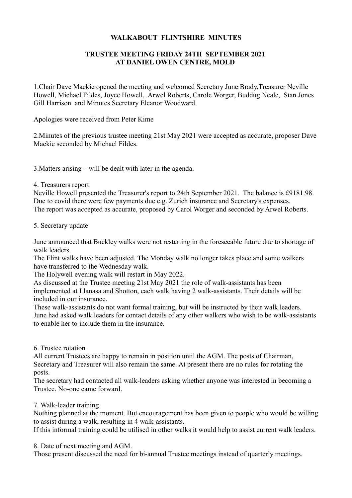## **WALKABOUT FLINTSHIRE MINUTES**

# **TRUSTEE MEETING FRIDAY 24TH SEPTEMBER 2021 AT DANIEL OWEN CENTRE, MOLD**

1.Chair Dave Mackie opened the meeting and welcomed Secretary June Brady,Treasurer Neville Howell, Michael Fildes, Joyce Howell, Arwel Roberts, Carole Worger, Buddug Neale, Stan Jones Gill Harrison and Minutes Secretary Eleanor Woodward.

Apologies were received from Peter Kime

2.Minutes of the previous trustee meeting 21st May 2021 were accepted as accurate, proposer Dave Mackie seconded by Michael Fildes.

3.Matters arising – will be dealt with later in the agenda.

### 4. Treasurers report

Neville Howell presented the Treasurer's report to 24th September 2021. The balance is £9181.98. Due to covid there were few payments due e.g. Zurich insurance and Secretary's expenses. The report was accepted as accurate, proposed by Carol Worger and seconded by Arwel Roberts.

### 5. Secretary update

June announced that Buckley walks were not restarting in the foreseeable future due to shortage of walk leaders.

The Flint walks have been adjusted. The Monday walk no longer takes place and some walkers have transferred to the Wednesday walk.

The Holywell evening walk will restart in May 2022.

As discussed at the Trustee meeting 21st May 2021 the role of walk-assistants has been implemented at Llanasa and Shotton, each walk having 2 walk-assistants. Their details will be included in our insurance.

These walk-assistants do not want formal training, but will be instructed by their walk leaders. June had asked walk leaders for contact details of any other walkers who wish to be walk-assistants to enable her to include them in the insurance.

### 6. Trustee rotation

All current Trustees are happy to remain in position until the AGM. The posts of Chairman, Secretary and Treasurer will also remain the same. At present there are no rules for rotating the posts.

The secretary had contacted all walk-leaders asking whether anyone was interested in becoming a Trustee. No-one came forward.

### 7. Walk-leader training

Nothing planned at the moment. But encouragement has been given to people who would be willing to assist during a walk, resulting in 4 walk-assistants.

If this informal training could be utilised in other walks it would help to assist current walk leaders.

8. Date of next meeting and AGM.

Those present discussed the need for bi-annual Trustee meetings instead of quarterly meetings.